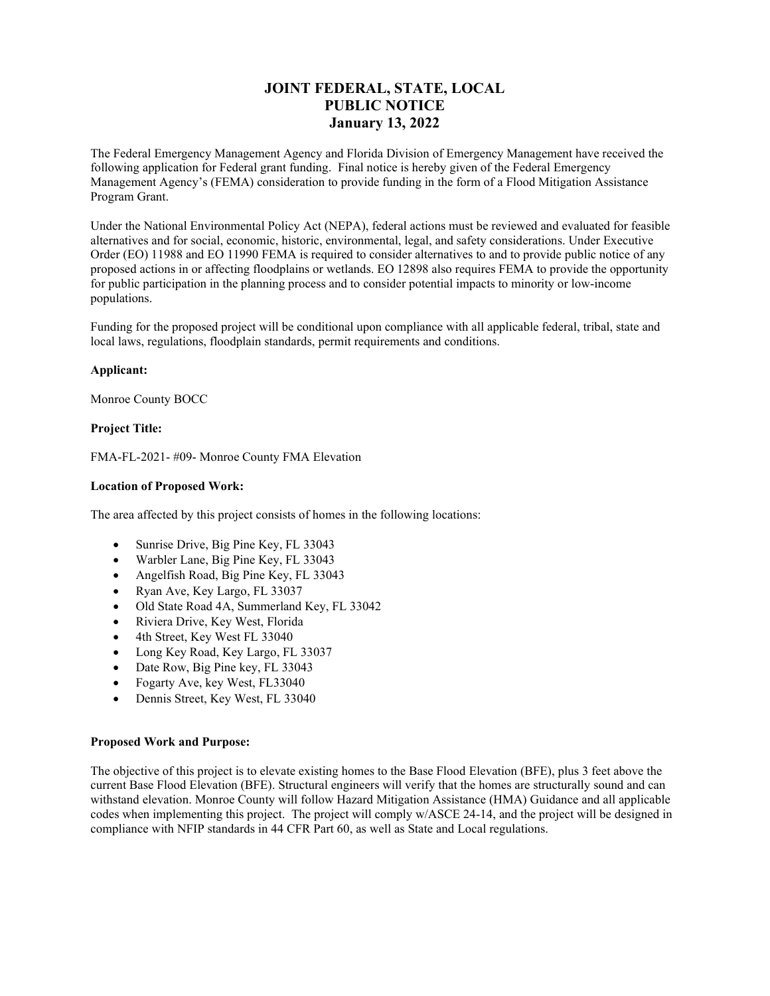# **JOINT FEDERAL, STATE, LOCAL PUBLIC NOTICE January 13, 2022**

The Federal Emergency Management Agency and Florida Division of Emergency Management have received the following application for Federal grant funding. Final notice is hereby given of the Federal Emergency Management Agency's (FEMA) consideration to provide funding in the form of a Flood Mitigation Assistance Program Grant.

Under the National Environmental Policy Act (NEPA), federal actions must be reviewed and evaluated for feasible alternatives and for social, economic, historic, environmental, legal, and safety considerations. Under Executive Order (EO) 11988 and EO 11990 FEMA is required to consider alternatives to and to provide public notice of any proposed actions in or affecting floodplains or wetlands. EO 12898 also requires FEMA to provide the opportunity for public participation in the planning process and to consider potential impacts to minority or low-income populations.

Funding for the proposed project will be conditional upon compliance with all applicable federal, tribal, state and local laws, regulations, floodplain standards, permit requirements and conditions.

# **Applicant:**

Monroe County BOCC

# **Project Title:**

FMA-FL-2021- #09- Monroe County FMA Elevation

## **Location of Proposed Work:**

The area affected by this project consists of homes in the following locations:

- Sunrise Drive, Big Pine Key, FL 33043
- Warbler Lane, Big Pine Key, FL 33043
- Angelfish Road, Big Pine Key, FL 33043
- Ryan Ave, Key Largo, FL 33037
- Old State Road 4A, Summerland Key, FL 33042
- Riviera Drive, Key West, Florida
- 4th Street, Key West FL 33040
- Long Key Road, Key Largo, FL 33037
- Date Row, Big Pine key, FL 33043
- Fogarty Ave, key West, FL33040
- Dennis Street, Key West, FL 33040

# **Proposed Work and Purpose:**

The objective of this project is to elevate existing homes to the Base Flood Elevation (BFE), plus 3 feet above the current Base Flood Elevation (BFE). Structural engineers will verify that the homes are structurally sound and can withstand elevation. Monroe County will follow Hazard Mitigation Assistance (HMA) Guidance and all applicable codes when implementing this project. The project will comply w/ASCE 24‐14, and the project will be designed in compliance with NFIP standards in 44 CFR Part 60, as well as State and Local regulations.